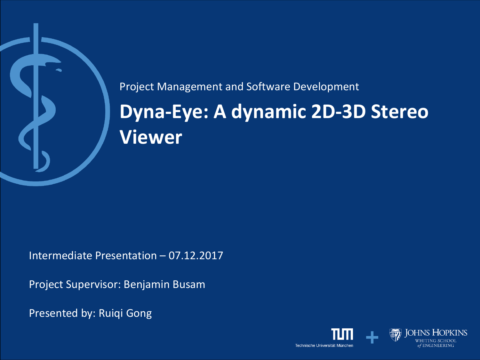

## **Dyna-Eye: A dynamic 2D-3D Stereo Viewer** Project Management and Software Development

Intermediate Presentation – 07.12.2017

Project Supervisor: Benjamin Busam

Presented by: Ruiqi Gong

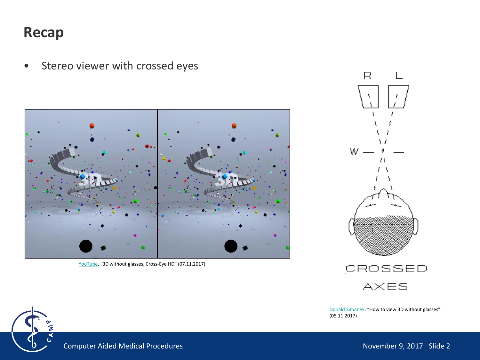#### **Recap**

[YouTube](https://www.youtube.com/watch?v=zBa-bCxsZDk). "3D without glasses, Cross-Eye HD" (07.11.2017)





[Donald Simanek](https://www.lhup.edu/~dsimanek/3d/view3d.htm). "How to view 3D without glasses".  $(05.11.2017)$ 



Computer Aided Medical Procedures November 9, 2017 Slide 2

• Stereo viewer with crossed eyes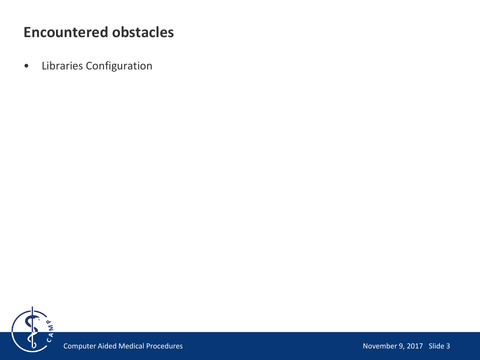• Libraries Configuration

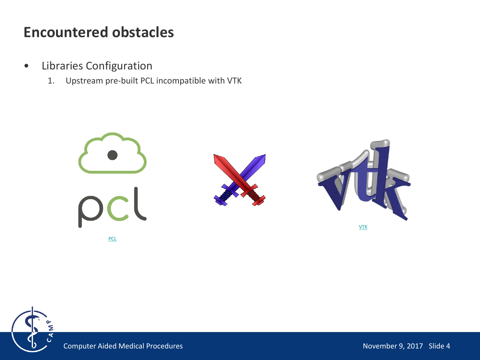- Libraries Configuration
	- 1. Upstream pre-built PCL incompatible with VTK



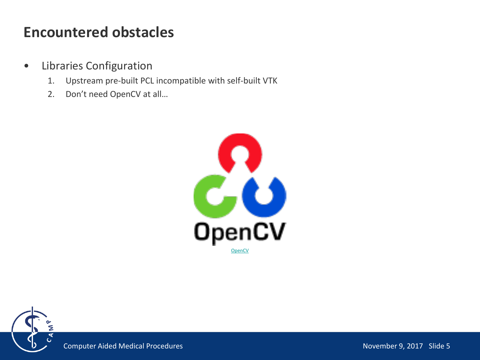- Libraries Configuration
	- 1. Upstream pre-built PCL incompatible with self-built VTK
	- 2. Don't need OpenCV at all…



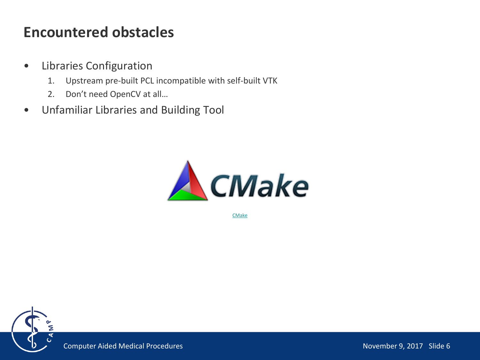- Libraries Configuration
	- 1. Upstream pre-built PCL incompatible with self-built VTK
	- 2. Don't need OpenCV at all…
- Unfamiliar Libraries and Building Tool



[CMake](https://cmake.org/)



Computer Aided Medical Procedures November 9, 2017 Slide 6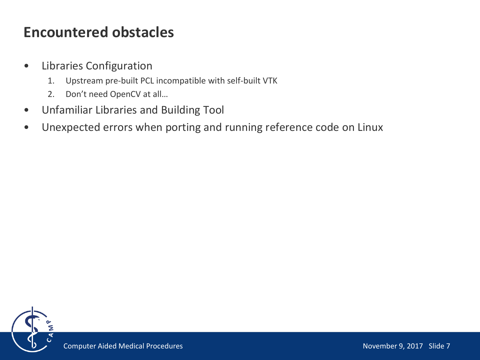- Libraries Configuration
	- 1. Upstream pre-built PCL incompatible with self-built VTK
	- 2. Don't need OpenCV at all…
- Unfamiliar Libraries and Building Tool
- Unexpected errors when porting and running reference code on Linux

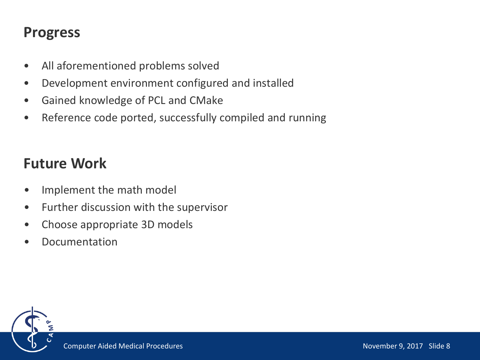#### **Progress**

- All aforementioned problems solved
- Development environment configured and installed
- Gained knowledge of PCL and CMake
- Reference code ported, successfully compiled and running

#### **Future Work**

- Implement the math model
- Further discussion with the supervisor
- Choose appropriate 3D models
- **Documentation**

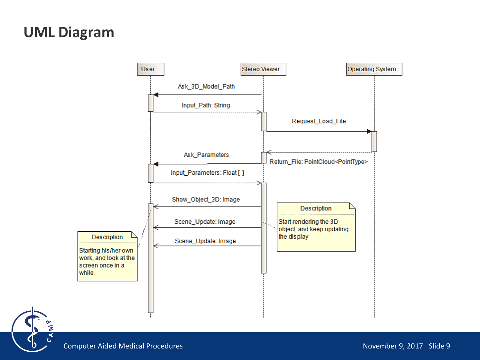#### **UML Diagram**



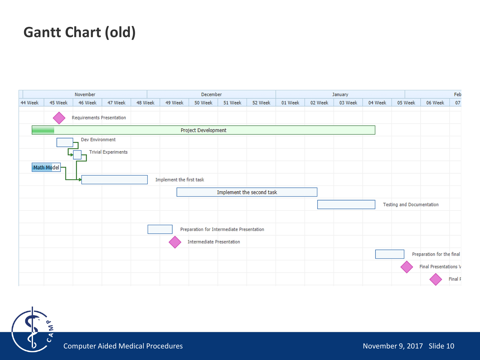## **Gantt Chart (old)**



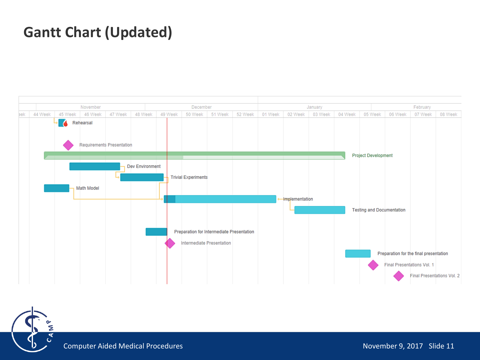## **Gantt Chart (Updated)**